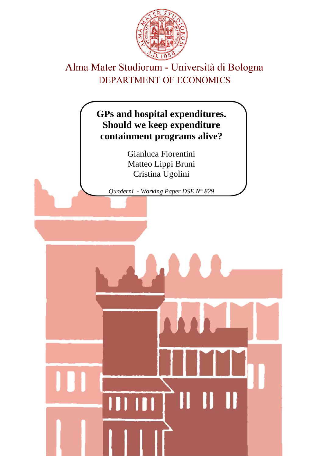

# Alma Mater Studiorum - Università di Bologna DEPARTMENT OF ECONOMICS

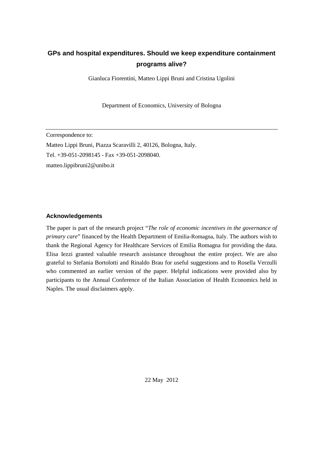# **GPs and hospital expenditures. Should we keep expenditure containment programs alive?**

Gianluca Fiorentini, Matteo Lippi Bruni and Cristina Ugolini

Department of Economics, University of Bologna

Correspondence to: Matteo Lippi Bruni, Piazza Scaravilli 2, 40126, Bologna, Italy. Tel. +39-051-2098145 - Fax +39-051-2098040. matteo.lippibruni2@unibo.it

# **Acknowledgements**

The paper is part of the research project "*The role of economic incentives in the governance of primary care*" financed by the Health Department of Emilia-Romagna, Italy. The authors wish to thank the Regional Agency for Healthcare Services of Emilia Romagna for providing the data. Elisa Iezzi granted valuable research assistance throughout the entire project. We are also grateful to Stefania Bortolotti and Rinaldo Brau for useful suggestions and to Rosella Verzulli who commented an earlier version of the paper. Helpful indications were provided also by participants to the Annual Conference of the Italian Association of Health Economics held in Naples. The usual disclaimers apply.

22 May 2012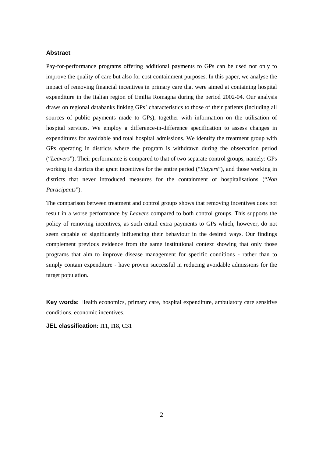# **Abstract**

Pay-for-performance programs offering additional payments to GPs can be used not only to improve the quality of care but also for cost containment purposes. In this paper, we analyse the impact of removing financial incentives in primary care that were aimed at containing hospital expenditure in the Italian region of Emilia Romagna during the period 2002-04. Our analysis draws on regional databanks linking GPs' characteristics to those of their patients (including all sources of public payments made to GPs), together with information on the utilisation of hospital services. We employ a difference-in-difference specification to assess changes in expenditures for avoidable and total hospital admissions. We identify the treatment group with GPs operating in districts where the program is withdrawn during the observation period ("*Leavers*"). Their performance is compared to that of two separate control groups, namely: GPs working in districts that grant incentives for the entire period ("*Stayers*"), and those working in districts that never introduced measures for the containment of hospitalisations ("*Non Participants*").

The comparison between treatment and control groups shows that removing incentives does not result in a worse performance by *Leavers* compared to both control groups. This supports the policy of removing incentives, as such entail extra payments to GPs which, however, do not seem capable of significantly influencing their behaviour in the desired ways. Our findings complement previous evidence from the same institutional context showing that only those programs that aim to improve disease management for specific conditions - rather than to simply contain expenditure - have proven successful in reducing avoidable admissions for the target population.

**Key words:** Health economics, primary care, hospital expenditure, ambulatory care sensitive conditions, economic incentives.

**JEL classification:** I11, I18, C31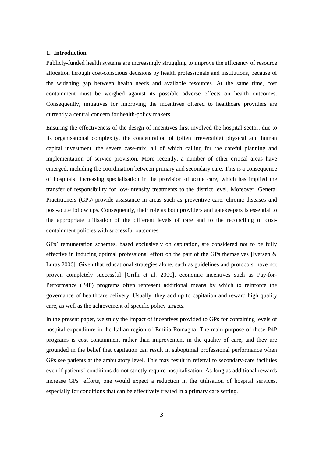#### **1. Introduction**

Publicly-funded health systems are increasingly struggling to improve the efficiency of resource allocation through cost-conscious decisions by health professionals and institutions, because of the widening gap between health needs and available resources. At the same time, cost containment must be weighed against its possible adverse effects on health outcomes. Consequently, initiatives for improving the incentives offered to healthcare providers are currently a central concern for health-policy makers.

Ensuring the effectiveness of the design of incentives first involved the hospital sector, due to its organisational complexity, the concentration of (often irreversible) physical and human capital investment, the severe case-mix, all of which calling for the careful planning and implementation of service provision. More recently, a number of other critical areas have emerged, including the coordination between primary and secondary care. This is a consequence of hospitals' increasing specialisation in the provision of acute care, which has implied the transfer of responsibility for low-intensity treatments to the district level. Moreover, General Practitioners (GPs) provide assistance in areas such as preventive care, chronic diseases and post-acute follow ups. Consequently, their role as both providers and gatekeepers is essential to the appropriate utilisation of the different levels of care and to the reconciling of costcontainment policies with successful outcomes.

GPs' remuneration schemes, based exclusively on capitation, are considered not to be fully effective in inducing optimal professional effort on the part of the GPs themselves [Iversen  $\&$ Luras 2006]. Given that educational strategies alone, such as guidelines and protocols, have not proven completely successful [Grilli et al. 2000], economic incentives such as Pay-for-Performance (P4P) programs often represent additional means by which to reinforce the governance of healthcare delivery. Usually, they add up to capitation and reward high quality care, as well as the achievement of specific policy targets.

In the present paper, we study the impact of incentives provided to GPs for containing levels of hospital expenditure in the Italian region of Emilia Romagna. The main purpose of these P4P programs is cost containment rather than improvement in the quality of care, and they are grounded in the belief that capitation can result in suboptimal professional performance when GPs see patients at the ambulatory level. This may result in referral to secondary-care facilities even if patients' conditions do not strictly require hospitalisation. As long as additional rewards increase GPs' efforts, one would expect a reduction in the utilisation of hospital services, especially for conditions that can be effectively treated in a primary care setting.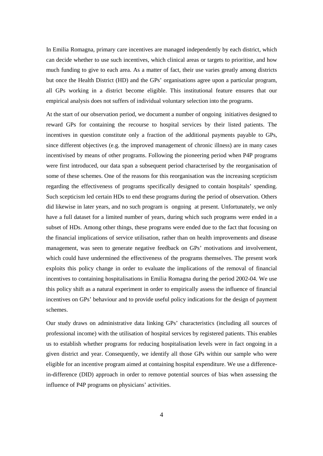In Emilia Romagna, primary care incentives are managed independently by each district, which can decide whether to use such incentives, which clinical areas or targets to prioritise, and how much funding to give to each area. As a matter of fact, their use varies greatly among districts but once the Health District (HD) and the GPs' organisations agree upon a particular program, all GPs working in a district become eligible. This institutional feature ensures that our empirical analysis does not suffers of individual voluntary selection into the programs.

At the start of our observation period, we document a number of ongoing initiatives designed to reward GPs for containing the recourse to hospital services by their listed patients. The incentives in question constitute only a fraction of the additional payments payable to GPs, since different objectives (e.g. the improved management of chronic illness) are in many cases incentivised by means of other programs. Following the pioneering period when P4P programs were first introduced, our data span a subsequent period characterised by the reorganisation of some of these schemes. One of the reasons for this reorganisation was the increasing scepticism regarding the effectiveness of programs specifically designed to contain hospitals' spending. Such scepticism led certain HDs to end these programs during the period of observation. Others did likewise in later years, and no such program is ongoing at present. Unfortunately, we only have a full dataset for a limited number of years, during which such programs were ended in a subset of HDs. Among other things, these programs were ended due to the fact that focusing on the financial implications of service utilisation, rather than on health improvements and disease management, was seen to generate negative feedback on GPs' motivations and involvement, which could have undermined the effectiveness of the programs themselves. The present work exploits this policy change in order to evaluate the implications of the removal of financial incentives to containing hospitalisations in Emilia Romagna during the period 2002-04. We use this policy shift as a natural experiment in order to empirically assess the influence of financial incentives on GPs' behaviour and to provide useful policy indications for the design of payment schemes.

Our study draws on administrative data linking GPs' characteristics (including all sources of professional income) with the utilisation of hospital services by registered patients. This enables us to establish whether programs for reducing hospitalisation levels were in fact ongoing in a given district and year. Consequently, we identify all those GPs within our sample who were eligible for an incentive program aimed at containing hospital expenditure. We use a differencein-difference (DID) approach in order to remove potential sources of bias when assessing the influence of P4P programs on physicians' activities.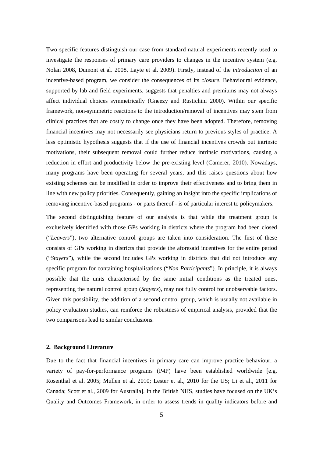Two specific features distinguish our case from standard natural experiments recently used to investigate the responses of primary care providers to changes in the incentive system (e.g. Nolan 2008, Dumont et al. 2008, Layte et al. 2009). Firstly, instead of the *introduction* of an incentive-based program, we consider the consequences of its *closure*. Behavioural evidence, supported by lab and field experiments, suggests that penalties and premiums may not always affect individual choices symmetrically (Gneezy and Rustichini 2000). Within our specific framework, non-symmetric reactions to the introduction/removal of incentives may stem from clinical practices that are costly to change once they have been adopted. Therefore, removing financial incentives may not necessarily see physicians return to previous styles of practice. A less optimistic hypothesis suggests that if the use of financial incentives crowds out intrinsic motivations, their subsequent removal could further reduce intrinsic motivations, causing a reduction in effort and productivity below the pre-existing level (Camerer, 2010). Nowadays, many programs have been operating for several years, and this raises questions about how existing schemes can be modified in order to improve their effectiveness and to bring them in line with new policy priorities. Consequently, gaining an insight into the specific implications of removing incentive-based programs - or parts thereof - is of particular interest to policymakers.

The second distinguishing feature of our analysis is that while the treatment group is exclusively identified with those GPs working in districts where the program had been closed ("*Leavers*"), two alternative control groups are taken into consideration. The first of these consists of GPs working in districts that provide the aforesaid incentives for the entire period ("*Stayers*"), while the second includes GPs working in districts that did not introduce any specific program for containing hospitalisations ("*Non Participants*"). In principle, it is always possible that the units characterised by the same initial conditions as the treated ones, representing the natural control group (*Stayers*), may not fully control for unobservable factors. Given this possibility, the addition of a second control group, which is usually not available in policy evaluation studies, can reinforce the robustness of empirical analysis, provided that the two comparisons lead to similar conclusions.

#### **2. Background Literature**

Due to the fact that financial incentives in primary care can improve practice behaviour, a variety of pay-for-performance programs (P4P) have been established worldwide [e.g. Rosenthal et al. 2005; Mullen et al. 2010; Lester et al., 2010 for the US; Li et al., 2011 for Canada; Scott et al., 2009 for Australia]. In the British NHS, studies have focused on the UK's Quality and Outcomes Framework, in order to assess trends in quality indicators before and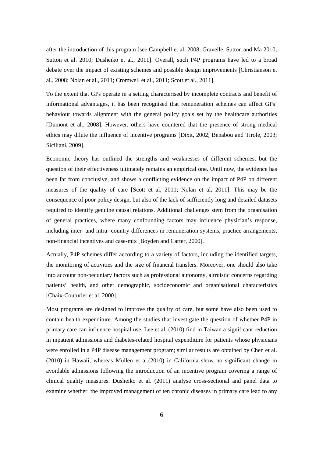after the introduction of this program [see Campbell et al. 2008, Gravelle, Sutton and Ma 2010; Sutton et al. 2010; Dusheiko et al., 2011]. Overall, such P4P programs have led to a broad debate over the impact of existing schemes and possible design improvements [Christianson et al., 2008; Nolan et al., 2011; Cromwell et al., 2011; Scott et al., 2011].

To the extent that GPs operate in a setting characterised by incomplete contracts and benefit of informational advantages, it has been recognised that remuneration schemes can affect GPs' behaviour towards alignment with the general policy goals set by the healthcare authorities [Dumont et al., 2008]. However, others have countered that the presence of strong medical ethics may dilute the influence of incentive programs [Dixit, 2002; Benabou and Tirole, 2003; Siciliani, 2009].

Economic theory has outlined the strengths and weaknesses of different schemes, but the question of their effectiveness ultimately remains an empirical one. Until now, the evidence has been far from conclusive, and shows a conflicting evidence on the impact of P4P on different measures of the quality of care [Scott et al, 2011; Nolan et al, 2011]. This may be the consequence of poor policy design, but also of the lack of sufficiently long and detailed datasets required to identify genuine causal relations. Additional challenges stem from the organisation of general practices, where many confounding factors may influence physician's response, including inter- and intra- country differences in remuneration systems, practice arrangements, non-financial incentives and case-mix [Boyden and Carter, 2000].

Actually, P4P schemes differ according to a variety of factors, including the identified targets, the monitoring of activities and the size of financial transfers. Moreover, one should also take into account non-pecuniary factors such as professional autonomy, altruistic concerns regarding patients' health, and other demographic, socioeconomic and organisational characteristics [Chaix-Couturier et al. 2000].

Most programs are designed to improve the quality of care, but some have also been used to contain health expenditure. Among the studies that investigate the question of whether P4P in primary care can influence hospital use, Lee et al. (2010) find in Taiwan a significant reduction in inpatient admissions and diabetes-related hospital expenditure for patients whose physicians were enrolled in a P4P disease management program; similar results are obtained by Chen et al. (2010) in Hawaii, whereas Mullen et al.(2010) in California show no significant change in avoidable admissions following the introduction of an incentive program covering a range of clinical quality measures. Dusheiko et al. (2011) analyse cross-sectional and panel data to examine whether the improved management of ten chronic diseases in primary care lead to any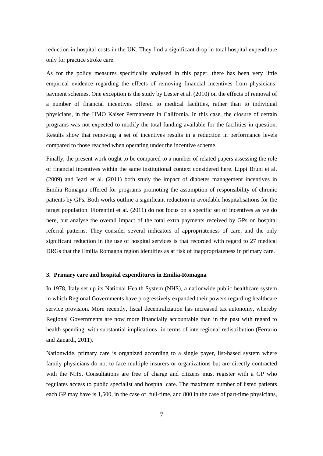reduction in hospital costs in the UK. They find a significant drop in total hospital expenditure only for practice stroke care.

As for the policy measures specifically analysed in this paper, there has been very little empirical evidence regarding the effects of removing financial incentives from physicians' payment schemes. One exception is the study by Lester et al. (2010) on the effects of removal of a number of financial incentives offered to medical facilities, rather than to individual physicians, in the HMO Kaiser Permanente in California. In this case, the closure of certain programs was not expected to modify the total funding available for the facilities in question. Results show that removing a set of incentives results in a reduction in performance levels compared to those reached when operating under the incentive scheme.

Finally, the present work ought to be compared to a number of related papers assessing the role of financial incentives within the same institutional context considered here. Lippi Bruni et al. (2009) and Iezzi et al. (2011) both study the impact of diabetes management incentives in Emilia Romagna offered for programs promoting the assumption of responsibility of chronic patients by GPs. Both works outline a significant reduction in avoidable hospitalisations for the target population. Fiorentini et al. (2011) do not focus on a specific set of incentives as we do here, but analyse the overall impact of the total extra payments received by GPs on hospital referral patterns. They consider several indicators of appropriateness of care, and the only significant reduction in the use of hospital services is that recorded with regard to 27 medical DRGs that the Emilia Romagna region identifies as at risk of inappropriateness in primary care.

# **3. Primary care and hospital expenditures in Emilia-Romagna**

In 1978, Italy set up its National Health System (NHS), a nationwide public healthcare system in which Regional Governments have progressively expanded their powers regarding healthcare service provision. More recently, fiscal decentralization has increased tax autonomy, whereby Regional Governments are now more financially accountable than in the past with regard to health spending, with substantial implications in terms of interregional redistribution (Ferrario and Zanardi, 2011).

Nationwide, primary care is organized according to a single payer, list-based system where family physicians do not to face multiple insurers or organizations but are directly contracted with the NHS. Consultations are free of charge and citizens must register with a GP who regulates access to public specialist and hospital care. The maximum number of listed patients each GP may have is 1,500, in the case of full-time, and 800 in the case of part-time physicians,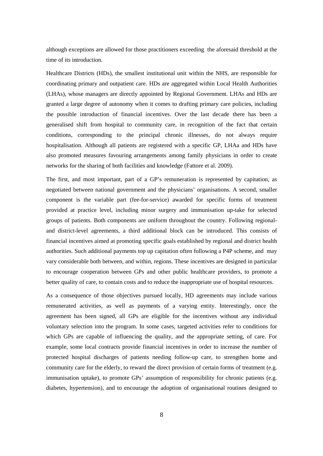although exceptions are allowed for those practitioners exceeding the aforesaid threshold at the time of its introduction.

Healthcare Districts (HDs), the smallest institutional unit within the NHS, are responsible for coordinating primary and outpatient care. HDs are aggregated within Local Health Authorities (LHAs), whose managers are directly appointed by Regional Government. LHAs and HDs are granted a large degree of autonomy when it comes to drafting primary care policies, including the possible introduction of financial incentives. Over the last decade there has been a generalised shift from hospital to community care, in recognition of the fact that certain conditions, corresponding to the principal chronic illnesses, do not always require hospitalisation. Although all patients are registered with a specific GP, LHAa and HDs have also promoted measures favouring arrangements among family physicians in order to create networks for the sharing of both facilities and knowledge (Fattore et al. 2009).

The first, and most important, part of a GP's remuneration is represented by capitation, as negotiated between national government and the physicians' organisations. A second, smaller component is the variable part (fee-for-service) awarded for specific forms of treatment provided at practice level, including minor surgery and immunisation up-take for selected groups of patients. Both components are uniform throughout the country. Following regionaland district-level agreements, a third additional block can be introduced. This consists of financial incentives aimed at promoting specific goals established by regional and district health authorities. Such additional payments top up capitation often following a P4P scheme, and may vary considerable both between, and within, regions. These incentives are designed in particular to encourage cooperation between GPs and other public healthcare providers, to promote a better quality of care, to contain costs and to reduce the inappropriate use of hospital resources.

As a consequence of those objectives pursued locally, HD agreements may include various remunerated activities, as well as payments of a varying entity. Interestingly, once the agreement has been signed, all GPs are eligible for the incentives without any individual voluntary selection into the program. In some cases, targeted activities refer to conditions for which GPs are capable of influencing the quality, and the appropriate setting, of care. For example, some local contracts provide financial incentives in order to increase the number of protected hospital discharges of patients needing follow-up care, to strengthen home and community care for the elderly, to reward the direct provision of certain forms of treatment (e.g. immunisation uptake), to promote GPs' assumption of responsibility for chronic patients (e.g. diabetes, hypertension), and to encourage the adoption of organisational routines designed to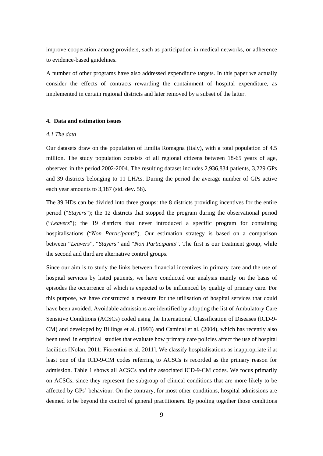improve cooperation among providers, such as participation in medical networks, or adherence to evidence-based guidelines.

A number of other programs have also addressed expenditure targets. In this paper we actually consider the effects of contracts rewarding the containment of hospital expenditure, as implemented in certain regional districts and later removed by a subset of the latter.

#### **4. Data and estimation issues**

# *4.1 The data*

Our datasets draw on the population of Emilia Romagna (Italy), with a total population of 4.5 million. The study population consists of all regional citizens between 18-65 years of age, observed in the period 2002-2004. The resulting dataset includes 2,936,834 patients, 3,229 GPs and 39 districts belonging to 11 LHAs. During the period the average number of GPs active each year amounts to 3,187 (std. dev. 58).

The 39 HDs can be divided into three groups: the 8 districts providing incentives for the entire period ("*Stayers*"); the 12 districts that stopped the program during the observational period ("*Leavers*"); the 19 districts that never introduced a specific program for containing hospitalisations ("*Non Participants*"). Our estimation strategy is based on a comparison between "*Leavers*", "*Stayers*" and "*Non Participants*". The first is our treatment group, while the second and third are alternative control groups.

Since our aim is to study the links between financial incentives in primary care and the use of hospital services by listed patients, we have conducted our analysis mainly on the basis of episodes the occurrence of which is expected to be influenced by quality of primary care. For this purpose, we have constructed a measure for the utilisation of hospital services that could have been avoided. Avoidable admissions are identified by adopting the list of Ambulatory Care Sensitive Conditions (ACSCs) coded using the International Classification of Diseases (ICD-9- CM) and developed by Billings et al. (1993) and Caminal et al. (2004), which has recently also been used in empirical studies that evaluate how primary care policies affect the use of hospital facilities [Nolan, 2011; Fiorentini et al. 2011]. We classify hospitalisations as inappropriate if at least one of the ICD-9-CM codes referring to ACSCs is recorded as the primary reason for admission. Table 1 shows all ACSCs and the associated ICD-9-CM codes. We focus primarily on ACSCs, since they represent the subgroup of clinical conditions that are more likely to be affected by GPs' behaviour. On the contrary, for most other conditions, hospital admissions are deemed to be beyond the control of general practitioners. By pooling together those conditions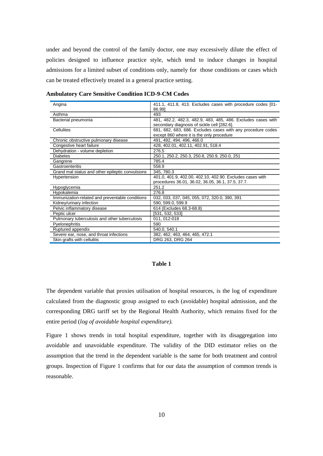under and beyond the control of the family doctor, one may excessively dilute the effect of policies designed to influence practice style, which tend to induce changes in hospital admissions for a limited subset of conditions only, namely for those conditions or cases which can be treated effectively treated in a general practice setting.

| Angina                                           | 411.1, 411.8, 413. Excludes cases with procedure codes [01-  |
|--------------------------------------------------|--------------------------------------------------------------|
|                                                  | 86.991                                                       |
| Asthma                                           | 493                                                          |
| Bacterial pneumonia                              | 481, 482.2, 482.3, 482.9, 483, 485, 486. Excludes cases with |
|                                                  | secondary diagnosis of sickle cell [282.6].                  |
| Cellulites                                       | 681, 682, 683, 686. Excludes cases with any procedure codes  |
|                                                  | except 860 where it is the only procedure                    |
| Chronic obstructive pulmonary disease            | 491, 492, 494, 496, 466.0                                    |
| Congestive heart failure                         | 428, 402.01, 402.11, 402.91, 518.4                           |
| Dehydration - volume depletion                   | 276.5                                                        |
| Diabetes                                         | 250.1, 250.2, 250.3, 250.8, 250.9, 250.0, 251                |
| Gangrene                                         | 785.4                                                        |
| Gastroenteritis                                  | 558.9                                                        |
| Grand mal status and other epileptic convulsions | 345, 780.3                                                   |
| Hypertension                                     | 401.0, 401.9, 402.00, 402.10, 402.90. Excludes cases with    |
|                                                  | procedures 36.01, 36.02, 36.05, 36.1, 37.5, 37.7.            |
| Hypoglycemia                                     | 251.2                                                        |
| Hypokalemia                                      | 276.8                                                        |
| Immunization-related and preventable conditions  | 032, 033, 037, 045, 055, 072, 320.0, 390, 391                |
| Kidney/urinary infection                         | 590, 599.0, 599.9                                            |
| Pelvic inflammatory disease                      | 614 (Excludes 68.3-68.8)                                     |
| Peptic ulcer                                     | [531, 532, 533]                                              |
| Pulmonary tuberculosis and other tuberculosis    | 011.012-018                                                  |
| Pyelonephritis                                   | 590                                                          |
| Ruptured appendix                                | 540.0.540.1                                                  |
| Severe ear, nose, and throat infections          | 382, 462, 463, 464, 465, 472.1                               |
| Skin grafts with cellulitis                      | DRG 263, DRG 264                                             |

**Ambulatory Care Sensitive Condition ICD-9-CM Codes**

#### **Table 1**

The dependent variable that proxies utilisation of hospital resources, is the log of expenditure calculated from the diagnostic group assigned to each (avoidable) hospital admission, and the corresponding DRG tariff set by the Regional Health Authority, which remains fixed for the entire period (*log of avoidable hospital expenditure).*

Figure 1 shows trends in total hospital expenditure, together with its disaggregation into avoidable and unavoidable expenditure. The validity of the DID estimator relies on the assumption that the trend in the dependent variable is the same for both treatment and control groups. Inspection of Figure 1 confirms that for our data the assumption of common trends is reasonable.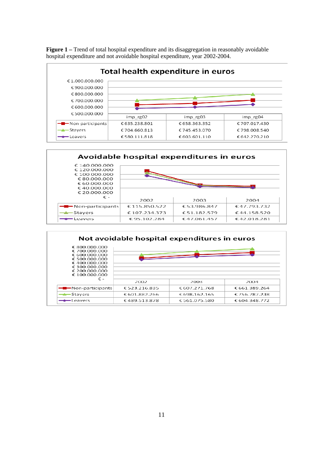**Figure 1** – Trend of total hospital expenditure and its disaggregation in reasonably avoidable hospital expenditure and not avoidable hospital expenditure, year 2002-2004.





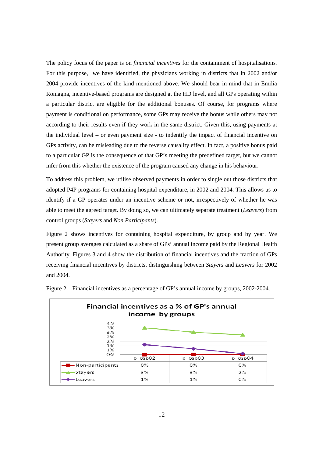The policy focus of the paper is on *financial incentives* for the containment of hospitalisations*.* For this purpose, we have identified, the physicians working in districts that in 2002 and/or 2004 provide incentives of the kind mentioned above. We should bear in mind that in Emilia Romagna, incentive-based programs are designed at the HD level, and all GPs operating within a particular district are eligible for the additional bonuses. Of course, for programs where payment is conditional on performance, some GPs may receive the bonus while others may not according to their results even if they work in the same district. Given this, using payments at the individual level – or even payment size - to indentify the impact of financial incentive on GPs activity, can be misleading due to the reverse causality effect. In fact, a positive bonus paid to a particular GP is the consequence of that GP's meeting the predefined target, but we cannot infer from this whether the existence of the program caused any change in his behaviour.

To address this problem, we utilise observed payments in order to single out those districts that adopted P4P programs for containing hospital expenditure, in 2002 and 2004. This allows us to identify if a GP operates under an incentive scheme or not, irrespectively of whether he was able to meet the agreed target. By doing so, we can ultimately separate treatment (*Leavers*) from control groups (*Stayers* and *Non Participants*).

Figure 2 shows incentives for containing hospital expenditure, by group and by year. We present group averages calculated as a share of GPs' annual income paid by the Regional Health Authority. Figures 3 and 4 show the distribution of financial incentives and the fraction of GPs receiving financial incentives by districts, distinguishing between *Stayers* and *Leavers* for 2002 and 2004.



Figure 2 – Financial incentives as a percentage of GP's annual income by groups, 2002-2004.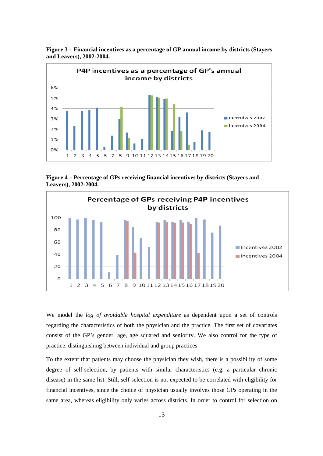

**Figure 3 – Financial incentives as a percentage of GP annual income by districts (Stayers and Leavers), 2002-2004.** 

**Figure 4 – Percentage of GPs receiving financial incentives by districts (Stayers and Leavers), 2002-2004.** 



We model the *log of avoidable hospital expenditure* as dependent upon a set of controls regarding the characteristics of both the physician and the practice. The first set of covariates consist of the GP's gender, age, age squared and seniority. We also control for the type of practice, distinguishing between individual and group practices.

To the extent that patients may choose the physician they wish, there is a possibility of some degree of self-selection, by patients with similar characteristics (e.g. a particular chronic disease) in the same list. Still, self-selection is not expected to be correlated with eligibility for financial incentives, since the choice of physician usually involves those GPs operating in the same area, whereas eligibility only varies across districts. In order to control for selection on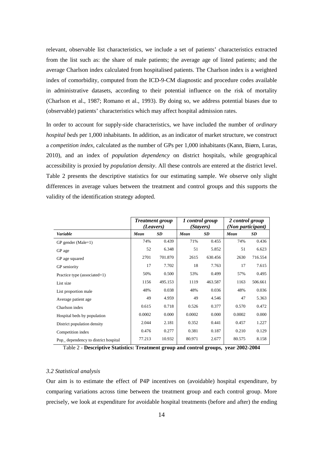relevant, observable list characteristics, we include a set of patients' characteristics extracted from the list such as: the share of male patients; the average age of listed patients; and the average Charlson index calculated from hospitalised patients. The Charlson index is a weighted index of comorbidity, computed from the ICD-9-CM diagnostic and procedure codes available in administrative datasets, according to their potential influence on the risk of mortality (Charlson et al., 1987; Romano et al., 1993). By doing so, we address potential biases due to (observable) patients' characteristics which may affect hospital admission rates.

In order to account for supply-side characteristics, we have included the number of *ordinary hospital beds* per 1,000 inhabitants. In addition, as an indicator of market structure, we construct a *competition index*, calculated as the number of GPs per 1,000 inhabitants (Kann, Biørn, Luras, 2010), and an index of *population dependency* on district hospitals, while geographical accessibility is proxied by *population density*. All these controls are entered at the district level. Table 2 presents the descriptive statistics for our estimating sample. We observe only slight differences in average values between the treatment and control groups and this supports the validity of the identification strategy adopted.

|                                     |                   | <b>Treatment group</b><br>(Leavers) | 1 control group   | (Stavers) | 2 control group<br>(Non participant) |           |  |
|-------------------------------------|-------------------|-------------------------------------|-------------------|-----------|--------------------------------------|-----------|--|
| Variable                            | <b>SD</b><br>Mean |                                     | <b>SD</b><br>Mean |           | Mean                                 | <b>SD</b> |  |
| $GP$ gender (Male=1)                | 74%               | 0.439                               | 71%               | 0.455     | 74%                                  | 0.436     |  |
| GP age                              | 52                | 6.348                               | 51                | 5.852     | 51                                   | 6.623     |  |
| GP age squared                      | 2701              | 701.870                             | 2615              | 630.456   | 2630                                 | 716.554   |  |
| GP seniority                        | 17                | 7.702                               | 18                | 7.763     | 17                                   | 7.615     |  |
| Practice type (associated=1)        | 50%               | 0.500                               | 53%               | 0.499     | 57%                                  | 0.495     |  |
| List size                           | 1156              | 495.153                             | 1119              | 463.587   | 1163                                 | 506.661   |  |
| List proportion male                | 48%               | 0.038                               | 48%               | 0.036     | 48%                                  | 0.036     |  |
| Average patient age                 | 49                | 4.959                               | 49                | 4.546     | 47                                   | 5.363     |  |
| Charlson index                      | 0.615             | 0.718                               | 0.526             | 0.377     | 0.570                                | 0.472     |  |
| Hospital beds by population         | 0.0002            | 0.000                               | 0.0002            | 0.000     | 0.0002                               | 0.000     |  |
| District population density         | 2.044             | 2.181                               | 0.352             | 0.441     | 0.457                                | 1.227     |  |
| Competition index                   | 0.476             | 0.277                               | 0.381             | 0.187     | 0.210                                | 0.129     |  |
| Pop dependency to district hospital | 77.213            | 10.932                              | 80.971            | 2.677     | 80.575                               | 8.158     |  |

Table 2 - **Descriptive Statistics: Treatment group and control groups, year 2002-2004** 

# *3.2 Statistical analysis*

Our aim is to estimate the effect of P4P incentives on (avoidable) hospital expenditure, by comparing variations across time between the treatment group and each control group. More precisely, we look at expenditure for avoidable hospital treatments (before and after) the ending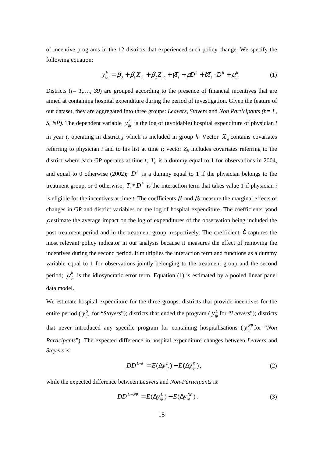of incentive programs in the 12 districts that experienced such policy change. We specify the following equation:

$$
y_{ijt}^h = \beta_0 + \beta_1' X_{it} + \beta_2' Z_{jt} + \gamma T_t + \rho D^h + \delta T_t \cdot D^h + \mu_{ijt}^h
$$
 (1)

Districts (*j*= 1,..., 39) are grouped according to the presence of financial incentives that are aimed at containing hospital expenditure during the period of investigation. Given the feature of our dataset, they are aggregated into three groups: *Leavers, Stayers* and *Non Participants (h= L, S, NP*). The dependent variable  $y_{ijt}^h$  is the log of (avoidable) hospital expenditure of physician *i* in year *t*, operating in district *j* which is included in group *h*. Vector  $X_i$  contains covariates referring to physician *i* and to his list at time *t*; vector  $Z_{jt}$  includes covariates referring to the district where each GP operates at time *t*;  $T<sub>t</sub>$  is a dummy equal to 1 for observations in 2004, and equal to 0 otherwise (2002);  $D<sup>h</sup>$  is a dummy equal to 1 if the physician belongs to the treatment group, or 0 otherwise;  $T_t * D^h$  is the interaction term that takes value 1 if physician *i* is eligible for the incentives at time *t*. The coefficients  $\beta$ <sub>*l*</sub> and  $\beta$ <sub>2</sub> measure the marginal effects of changes in GP and district variables on the log of hospital expenditure. The coefficients  $\gamma$  and  $\rho$  estimate the average impact on the log of expenditures of the observation being included the post treatment period and in the treatment group, respectively. The coefficient  $\delta$  captures the most relevant policy indicator in our analysis because it measures the effect of removing the incentives during the second period. It multiplies the interaction term and functions as a dummy variable equal to 1 for observations jointly belonging to the treatment group and the second period;  $\mu_{ij}^h$  is the idiosyncratic error term. Equation (1) is estimated by a pooled linear panel data model.

We estimate hospital expenditure for the three groups: districts that provide incentives for the entire period (  $y_{ij}^s$  for "*Stayers*"); districts that ended the program (  $y_{ij}^L$  for "*Leavers*"); districts that never introduced any specific program for containing hospitalisations ( $y_{ij}^{NP}$  for "*Non Participants*"). The expected difference in hospital expenditure changes between *Leavers* and *Stayers* is:

$$
DD^{L-S} = E(\Delta y_{ijt}^L) - E(\Delta y_{ijt}^S),
$$
 (2)

while the expected difference between *Leavers* and *Non-Participants* is:

$$
DD^{L-NP} = E(\Delta y_{ijt}^L) - E(\Delta y_{ijt}^{NP}). \tag{3}
$$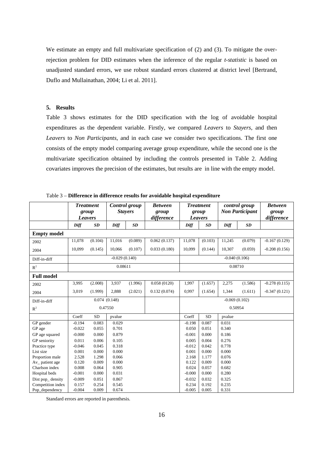We estimate an empty and full multivariate specification of (2) and (3). To mitigate the overrejection problem for DID estimates when the inference of the regular *t-statistic* is based on unadjusted standard errors, we use robust standard errors clustered at district level [Bertrand, Duflo and Mullainathan, 2004; Li et al. 2011].

#### **5. Results**

Table 3 shows estimates for the DID specification with the log of avoidable hospital expenditures as the dependent variable. Firstly, we compared *Leavers* to *Stayers*, and then *Leavers* to *Non Participants*, and in each case we consider two specifications. The first one consists of the empty model comparing average group expenditure, while the second one is the multivariate specification obtained by including the controls presented in Table 2. Adding covariates improves the precision of the estimates, but results are in line with the empty model.

|                    | <b>Treatment</b><br>group<br><b>Leavers</b> |           | <b>Control</b> group<br><b>Stayers</b> |         | <b>Between</b><br>group<br>difference | <b>Treatment</b><br>group<br><b>Leavers</b> |           | control group<br><b>Non Participant</b> |         | <b>Between</b><br>group<br>difference |  |
|--------------------|---------------------------------------------|-----------|----------------------------------------|---------|---------------------------------------|---------------------------------------------|-----------|-----------------------------------------|---------|---------------------------------------|--|
|                    | Diff                                        | SD        | Diff                                   | SD      |                                       | Diff                                        | SD        | Diff                                    | SD      |                                       |  |
| <b>Empty model</b> |                                             |           |                                        |         |                                       |                                             |           |                                         |         |                                       |  |
| 2002               | 11,078                                      | (0.104)   | 11,016                                 | (0.089) | 0.062(0.137)                          | 11,078                                      | (0.103)   | 11,245                                  | (0.079) | $-0.167(0.129)$                       |  |
| 2004               | 10,099                                      | (0.145)   | 10,066                                 | (0.107) | 0.033(0.180)                          | 10,099                                      | (0.144)   | 10,307                                  | (0.059) | $-0.208(0.156)$                       |  |
| Diff-in-diff       | $-0.029(0.140)$                             |           |                                        |         |                                       | $-0.040(0.106)$                             |           |                                         |         |                                       |  |
| $R^2$              | 0.08611                                     |           |                                        |         |                                       | 0.08710                                     |           |                                         |         |                                       |  |
| <b>Full model</b>  |                                             |           |                                        |         |                                       |                                             |           |                                         |         |                                       |  |
| 2002               | 3,995                                       | (2.008)   | 3,937                                  | (1.996) | 0.058(0120)                           | 1,997                                       | (1.657)   | 2,275                                   | (1.586) | $-0.278(0.115)$                       |  |
| 2004               | 3,019                                       | (1.999)   | 2,888                                  | (2.021) | 0.132(0.074)                          | 0,997                                       | (1.654)   | 1,344                                   | (1.611) | $-0.347(0.121)$                       |  |
| Diff-in-diff       | 0.074(0.148)                                |           |                                        |         |                                       | $-0.069(0.102)$                             |           |                                         |         |                                       |  |
| $R^2$              | 0.47550                                     |           |                                        |         |                                       | 0.50954                                     |           |                                         |         |                                       |  |
|                    | Coeff                                       | <b>SD</b> | pvalue                                 |         |                                       | Coeff                                       | <b>SD</b> | pvalue                                  |         |                                       |  |
| GP gender          | $-0.194$                                    | 0.083     | 0.029                                  |         |                                       | $-0.198$                                    | 0.087     | 0.031                                   |         |                                       |  |
| GP age             | $-0.022$                                    | 0.055     | 0.701                                  |         |                                       | 0.050                                       | 0.051     | 0.340                                   |         |                                       |  |
| GP age squared     | $-0.000$                                    | 0.000     | 0.879                                  |         |                                       | $-0.001$                                    | 0.000     | 0.186                                   |         |                                       |  |
| GP seniority       | 0.011                                       | 0.006     | 0.105                                  |         |                                       | 0.005                                       | 0.004     | 0.276                                   |         |                                       |  |
| Practice type      | $-0.046$                                    | 0.045     | 0.318                                  |         |                                       | $-0.012$                                    | 0.042     | 0.778                                   |         |                                       |  |
| List size          | 0.001                                       | 0.000     | 0.000                                  |         |                                       | 0.001                                       | 0.000     | 0.000                                   |         |                                       |  |
| Proportion male    | 2.528                                       | 1.298     | 0.066                                  |         |                                       | 2.168                                       | 1.177     | 0.076                                   |         |                                       |  |
| Av_patient age     | 0.120                                       | 0.009     | 0.000                                  |         |                                       | 0.122                                       | 0.009     | 0.000                                   |         |                                       |  |
| Charlson index     | $0.008\,$                                   | 0.064     | 0.905                                  |         |                                       | 0.024                                       | 0.057     | 0.682                                   |         |                                       |  |
| Hospital beds      | $-0.001$                                    | 0.000     | 0.031                                  |         |                                       | $-0.000$                                    | 0.000     | 0.280                                   |         |                                       |  |
| Dist pop_density   | $-0.009$                                    | 0.051     | 0.867                                  |         |                                       | $-0.032$                                    | 0.032     | 0.325                                   |         |                                       |  |
| Competition index  | 0.157                                       | 0.254     | 0.545                                  |         |                                       | 0.234                                       | 0.192     | 0.235                                   |         |                                       |  |
| Pop_dependency     | $-0.004$                                    | 0.009     | 0.674                                  |         |                                       | $-0.005$                                    | 0.005     | 0.331                                   |         |                                       |  |

Table 3 – **Difference in difference results for avoidable hospital expenditure** 

Standard errors are reported in parenthesis.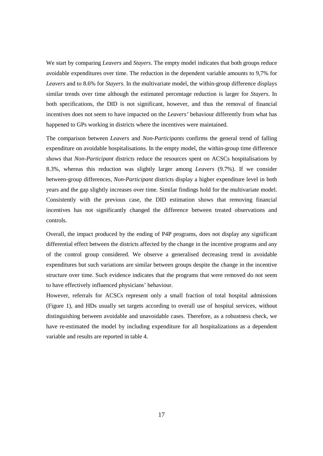We start by comparing *Leavers* and *Stayers*. The empty model indicates that both groups reduce avoidable expenditures over time. The reduction in the dependent variable amounts to 9,7% for *Leavers* and to 8.6% for *Stayers.* In the multivariate model, the within-group difference displays similar trends over time although the estimated percentage reduction is larger for *Stayers*. In both specifications, the DID is not significant, however, and thus the removal of financial incentives does not seem to have impacted on the *Leavers'* behaviour differently from what has happened to GPs working in districts where the incentives were maintained.

The comparison between *Leavers* and *Non-Participants* confirms the general trend of falling expenditure on avoidable hospitalisations. In the empty model, the within-group time difference shows that *Non-Participant* districts reduce the resources spent on ACSCs hospitalisations by 8.3%, whereas this reduction was slightly larger among *Leavers* (9.7%). If we consider between-group differences, *Non*-*Participant* districts display a higher expenditure level in both years and the gap slightly increases over time. Similar findings hold for the multivariate model. Consistently with the previous case, the DID estimation shows that removing financial incentives has not significantly changed the difference between treated observations and controls.

Overall, the impact produced by the ending of P4P programs, does not display any significant differential effect between the districts affected by the change in the incentive programs and any of the control group considered. We observe a generalised decreasing trend in avoidable expenditures but such variations are similar between groups despite the change in the incentive structure over time. Such evidence indicates that the programs that were removed do not seem to have effectively influenced physicians' behaviour.

However, referrals for ACSCs represent only a small fraction of total hospital admissions (Figure 1), and HDs usually set targets according to overall use of hospital services, without distinguishing between avoidable and unavoidable cases. Therefore, as a robustness check, we have re-estimated the model by including expenditure for all hospitalizations as a dependent variable and results are reported in table 4.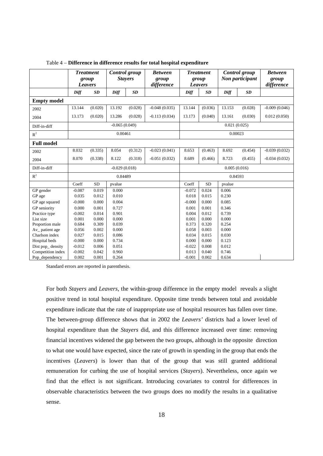|                    | <b>Treatment</b><br>group<br><b>Leavers</b> |           | <b>Control</b> group<br><b>Stayers</b> |         | <b>Between</b><br>group<br>difference | <b>Treatment</b><br>group<br><b>Leavers</b> |           | Control group<br>Non participant |           | <b>Between</b><br>group<br>difference |  |  |
|--------------------|---------------------------------------------|-----------|----------------------------------------|---------|---------------------------------------|---------------------------------------------|-----------|----------------------------------|-----------|---------------------------------------|--|--|
|                    | Diff                                        | SD        | Diff                                   | SD      |                                       | Diff                                        | SD        | Diff                             | <b>SD</b> |                                       |  |  |
| <b>Empty model</b> |                                             |           |                                        |         |                                       |                                             |           |                                  |           |                                       |  |  |
| 2002               | 13.144                                      | (0.020)   | 13.192                                 | (0.028) | $-0.048(0.035)$                       | 13.144                                      | (0.036)   | 13.153                           | (0.028)   | $-0.009(0.046)$                       |  |  |
| 2004               | 13.173                                      | (0.020)   | 13.286                                 | (0.028) | $-0.113(0.034)$                       | 13.173                                      | (0.040)   | 13.161                           | (0.030)   | 0.012(0.050)                          |  |  |
| Diff-in-diff       | $-0.065(0.049)$                             |           |                                        |         |                                       | 0.021(0.025)                                |           |                                  |           |                                       |  |  |
| $\mathbb{R}^2$     | 0.00461                                     |           |                                        |         |                                       | 0.00023                                     |           |                                  |           |                                       |  |  |
| <b>Full model</b>  |                                             |           |                                        |         |                                       |                                             |           |                                  |           |                                       |  |  |
| 2002               | 8.032                                       | (0.335)   | 8.054                                  | (0.312) | $-0.023(0.041)$                       | 8.653                                       | (0.463)   | 8.692                            | (0.454)   | $-0.039(0.032)$                       |  |  |
| 2004               | 8.070                                       | (0.338)   | 8.122                                  | (0.318) | $-0.051(0.032)$                       | 8.689                                       | (0.466)   | 8.723                            | (0.455)   | $-0.034(0.032)$                       |  |  |
| Diff-in-diff       | $-0.029(0.018)$                             |           |                                        |         |                                       | 0.005(0.016)                                |           |                                  |           |                                       |  |  |
| $\mathbb{R}^2$     | 0.84489                                     |           |                                        |         |                                       | 0.84593                                     |           |                                  |           |                                       |  |  |
|                    | Coeff                                       | <b>SD</b> | pvalue                                 |         |                                       | Coeff                                       | <b>SD</b> | pvalue                           |           |                                       |  |  |
| GP gender          | $-0.087$                                    | 0.019     | 0.000                                  |         |                                       | $-0.072$                                    | 0.024     | 0.006                            |           |                                       |  |  |
| GP age             | 0.035                                       | 0.012     | 0.010                                  |         |                                       | 0.018                                       | 0.015     | 0.230                            |           |                                       |  |  |
| GP age squared     | $-0.000$                                    | 0.000     | 0.004                                  |         |                                       | $-0.000$                                    | 0.000     | 0.085                            |           |                                       |  |  |
| GP seniority       | 0.000                                       | 0.001     | 0.727                                  |         |                                       | 0.001                                       | 0.001     | 0.346                            |           |                                       |  |  |
| Practice type      | $-0.002$                                    | 0.014     | 0.901                                  |         |                                       | 0.004                                       | 0.012     | 0.739                            |           |                                       |  |  |
| List size          | 0.001                                       | 0.000     | 0.000                                  |         |                                       | 0.001                                       | 0.000     | 0.000                            |           |                                       |  |  |
| Proportion male    | 0.684                                       | 0.309     | 0.039                                  |         |                                       | 0.373                                       | 0.320     | 0.254                            |           |                                       |  |  |
| Av_patient age     | 0.056                                       | 0.002     | 0.000                                  |         |                                       | 0.058                                       | 0.003     | 0.000                            |           |                                       |  |  |
| Charlson index     | 0.027                                       | 0.015     | 0.086                                  |         |                                       | 0.034                                       | 0.015     | 0.030                            |           |                                       |  |  |
| Hospital beds      | $-0.000$                                    | 0.000     | 0.734                                  |         |                                       | 0.000                                       | 0.000     | 0.123                            |           |                                       |  |  |
| Dist pop_density   | $-0.012$                                    | 0.006     | 0.051                                  |         |                                       | $-0.022$                                    | 0.008     | 0.012                            |           |                                       |  |  |
| Competition index  | $-0.002$                                    | 0.042     | 0.960                                  |         |                                       | 0.013                                       | 0.040     | 0.746                            |           |                                       |  |  |
| Pop_dependency     | 0.002                                       | 0.001     | 0.264                                  |         |                                       | $-0.001$                                    | 0.002     | 0.634                            |           |                                       |  |  |

Table 4 – **Difference in difference results for total hospital expenditure** 

Standard errors are reported in parenthesis.

For both *Stayers* and *Leavers*, the within-group difference in the empty model reveals a slight positive trend in total hospital expenditure. Opposite time trends between total and avoidable expenditure indicate that the rate of inappropriate use of hospital resources has fallen over time. The between-group difference shows that in 2002 the *Leavers'* districts had a lower level of hospital expenditure than the *Stayers* did, and this difference increased over time: removing financial incentives widened the gap between the two groups, although in the opposite direction to what one would have expected, since the rate of growth in spending in the group that ends the incentives (*Leavers*) is lower than that of the group that was still granted additional remuneration for curbing the use of hospital services (*Stayers*). Nevertheless, once again we find that the effect is not significant. Introducing covariates to control for differences in observable characteristics between the two groups does no modify the results in a qualitative sense.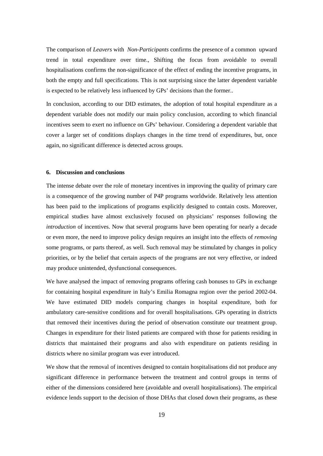The comparison of *Leavers* with *Non-Participants* confirms the presence of a common upward trend in total expenditure over time., Shifting the focus from avoidable to overall hospitalisations confirms the non-significance of the effect of ending the incentive programs, in both the empty and full specifications. This is not surprising since the latter dependent variable is expected to be relatively less influenced by GPs' decisions than the former..

In conclusion, according to our DID estimates, the adoption of total hospital expenditure as a dependent variable does not modify our main policy conclusion, according to which financial incentives seem to exert no influence on GPs' behaviour. Considering a dependent variable that cover a larger set of conditions displays changes in the time trend of expenditures, but, once again, no significant difference is detected across groups.

#### **6. Discussion and conclusions**

The intense debate over the role of monetary incentives in improving the quality of primary care is a consequence of the growing number of P4P programs worldwide. Relatively less attention has been paid to the implications of programs explicitly designed to contain costs. Moreover, empirical studies have almost exclusively focused on physicians' responses following the *introduction* of incentives. Now that several programs have been operating for nearly a decade or even more, the need to improve policy design requires an insight into the effects of *removing* some programs, or parts thereof, as well. Such removal may be stimulated by changes in policy priorities, or by the belief that certain aspects of the programs are not very effective, or indeed may produce unintended, dysfunctional consequences.

We have analysed the impact of removing programs offering cash bonuses to GPs in exchange for containing hospital expenditure in Italy's Emilia Romagna region over the period 2002-04. We have estimated DID models comparing changes in hospital expenditure, both for ambulatory care-sensitive conditions and for overall hospitalisations. GPs operating in districts that removed their incentives during the period of observation constitute our treatment group. Changes in expenditure for their listed patients are compared with those for patients residing in districts that maintained their programs and also with expenditure on patients residing in districts where no similar program was ever introduced.

We show that the removal of incentives designed to contain hospitalisations did not produce any significant difference in performance between the treatment and control groups in terms of either of the dimensions considered here (avoidable and overall hospitalisations). The empirical evidence lends support to the decision of those DHAs that closed down their programs, as these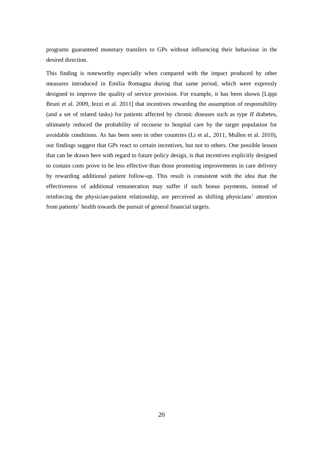programs guaranteed monetary transfers to GPs without influencing their behaviour in the desired direction.

This finding is noteworthy especially when compared with the impact produced by other measures introduced in Emilia Romagna during that same period, which were expressly designed to improve the quality of service provision. For example, it has been shown [Lippi Bruni et al. 2009, Iezzi et al. 2011] that incentives rewarding the assumption of responsibility (and a set of related tasks) for patients affected by chronic diseases such as type *II* diabetes, ultimately reduced the probability of recourse to hospital care by the target population for avoidable conditions. As has been seen in other countries (Li et al., 2011, Mullen et al. 2010), our findings suggest that GPs react to certain incentives, but not to others. One possible lesson that can be drawn here with regard to future policy design, is that incentives explicitly designed to contain costs prove to be less effective than those promoting improvements in care delivery by rewarding additional patient follow-up. This result is consistent with the idea that the effectiveness of additional remuneration may suffer if such bonus payments, instead of reinforcing the physician-patient relationship, are perceived as shifting physicians' attention from patients' health towards the pursuit of general financial targets.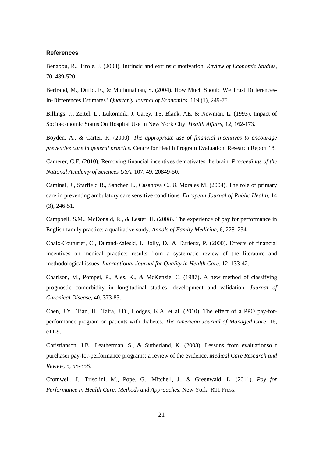#### **References**

Benabou, R., Tirole, J. (2003). Intrinsic and extrinsic motivation. *Review of Economic Studies*, 70, 489-520.

Bertrand, M., Duflo, E., & Mullainathan, S. (2004). How Much Should We Trust Differences-In-Differences Estimates? *Quarterly Journal of Economics*, 119 (1), 249-75.

Billings, J., Zeitel, L., Lukomnik, J, Carey, TS, Blank, AE, & Newman, L. (1993). Impact of Socioeconomic Status On Hospital Use In New York City. *Health Affairs*, 12, 162-173.

Boyden, A., & Carter, R. (2000). *The appropriate use of financial incentives to encourage preventive care in general practice.* Centre for Health Program Evaluation, Research Report 18.

Camerer, C.F. (2010). Removing financial incentives demotivates the brain. *Proceedings of the National Academy of Sciences USA*, 107, 49, 20849-50.

Caminal, J., Starfield B., Sanchez E., Casanova C., & Morales M. (2004). The role of primary care in preventing ambulatory care sensitive conditions. *European Journal of Public Health*, 14 (3), 246-51.

Campbell, S.M., McDonald, R., & Lester, H. (2008). The experience of pay for performance in English family practice: a qualitative study. *Annals of Family Medicine*, 6, 228–234.

Chaix-Couturier, C., Durand-Zaleski, I., Jolly, D., & Durieux, P. (2000). Effects of financial incentives on medical practice: results from a systematic review of the literature and methodological issues. *International Journal for Quality in Health Care*, 12, 133-42.

Charlson, M., Pompei, P., Ales, K., & McKenzie, C. (1987). A new method of classifying prognostic comorbidity in longitudinal studies: development and validation. *Journal of Chronical Disease*, 40, 373-83.

Chen, J.Y., Tian, H., Taira, J.D., Hodges, K.A. et al. (2010). The effect of a PPO pay-forperformance program on patients with diabetes. *The American Journal of Managed Care*, 16, e11-9.

Christianson, J.B., Leatherman, S., & Sutherland, K. (2008). Lessons from evaluationso f purchaser pay-for-performance programs: a review of the evidence. *Medical Care Research and Review,* 5, 5S-35S.

Cromwell, J., Trisolini, M., Pope, G., Mitchell, J., & Greenwald, L. (2011). *Pay for Performance in Health Care: Methods and Approaches,* New York: RTI Press.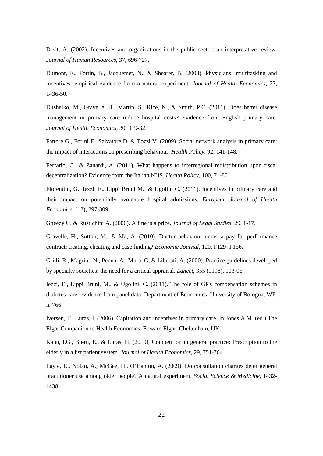Dixit, A. (2002). Incentives and organizations in the public sector: an interpretative review. *Journal of Human Resources*, 37, 696-727.

Dumont, E., Fortin, B., Jacquemet, N., & Shearer, B. (2008). Physicians' multitasking and incentives: empirical evidence from a natural experiment. *Journal of Health Economics*, 27, 1436-50.

Dusheiko, M., Gravelle, H., Martin, S., Rice, N., & Smith, P.C. (2011). Does better disease management in primary care reduce hospital costs? Evidence from English primary care. *Journal of Health Economics*, 30, 919-32.

Fattore G., Forini F., Salvatore D. & Tozzi V. (2009). Social network analysis in primary care: the impact of interactions on prescribing behaviour. *Health Policy*, 92, 141-148.

Ferrario, C., & Zanardi, A. (2011). What happens to interregional redistribution upon fiscal decentralization? Evidence from the Italian NHS. *Health Policy*, 100, 71-80

Fiorentini, G., Iezzi, E., Lippi Bruni M., & Ugolini C. (2011). Incentives in primary care and their impact on potentially avoidable hospital admissions. *European Journal of Health Economics,* (12), 297-309.

Gneezy U. & Rustichini A. (2000). A fine is a price. *Journal of Legal Studies*, 29, 1-17.

Gravelle, H., Sutton, M., & Ma, A. (2010). Doctor behaviour under a pay for performance contract: treating, cheating and case finding? *Economic Journal*, 120, F129- F156.

Grilli, R., Magrini, N., Penna, A., Mura, G, & Liberati, A. (2000). Practice guidelines developed by specialty societies: the need for a critical appraisal. *Lancet*, 355 (9198), 103-06.

Iezzi, E., Lippi Bruni, M., & Ugolini, C. (2011). The role of GP's compensation schemes in diabetes care: evidence from panel data, Department of Economics, University of Bologna, WP. n. 766.

Iversen, T., Luras, I. (2006). Capitation and incentives in primary care. In Jones A.M. (ed.) The Elgar Companion to Health Economics, Edward Elgar, Cheltenham, UK.

Kann, I.G., Biørn, E., & Luras, H. (2010), Competition in general practice: Prescription to the elderly in a list patient system. *Journal of Health Economics*, 29, 751-764.

Layte, R., Nolan, A., McGee, H., O'Hanlon, A. (2009). Do consultation charges deter general practitioner use among older people? A natural experiment. *Social Science & Medicine*, 1432- 1438.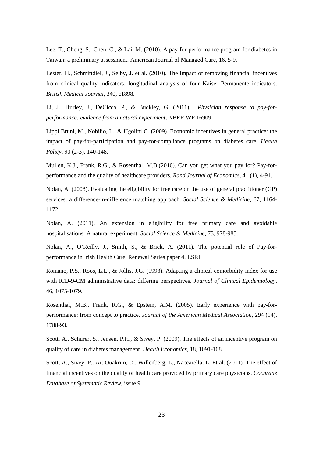Lee, T., Cheng, S., Chen, C., & Lai, M. (2010). A pay-for-performance program for diabetes in Taiwan: a preliminary assessment. American Journal of Managed Care, 16, 5-9.

Lester, H., Schmittdiel, J., Selby, J. et al. (2010). The impact of removing financial incentives from clinical quality indicators: longitudinal analysis of four Kaiser Permanente indicators. *British Medical Journal*, 340, c1898.

Li, J., Hurley, J., DeCicca, P., & Buckley, G. (2011). *Physician response to pay-forperformance: evidence from a natural experiment*, NBER WP 16909.

Lippi Bruni, M., Nobilio, L., & Ugolini C. (2009). Economic incentives in general practice: the impact of pay-for-participation and pay-for-compliance programs on diabetes care. *Health Policy*, 90 (2-3), 140-148.

Mullen, K.J., Frank, R.G., & Rosenthal, M.B.(2010). Can you get what you pay for? Pay-forperformance and the quality of healthcare providers. *Rand Journal of Economics*, 41 (1), 4-91.

Nolan, A. (2008). Evaluating the eligibility for free care on the use of general practitioner (GP) services: a difference-in-difference matching approach. *Social Science & Medicine*, 67, 1164- 1172.

Nolan, A. (2011). An extension in eligibility for free primary care and avoidable hospitalisations: A natural experiment. *Social Science & Medicine*, 73, 978-985.

Nolan, A., O'Reilly, J., Smith, S., & Brick, A. (2011). The potential role of Pay-forperformance in Irish Health Care. Renewal Series paper 4, ESRI.

Romano, P.S., Roos, L.L., & Jollis, J.G. (1993). Adapting a clinical comorbidity index for use with ICD-9-CM administrative data: differing perspectives. *Journal of Clinical Epidemiology*, 46, 1075-1079.

Rosenthal, M.B., Frank, R.G., & Epstein, A.M. (2005). Early experience with pay-forperformance: from concept to practice. *Journal of the American Medical Association*, 294 (14), 1788-93.

Scott, A., Schurer, S., Jensen, P.H., & Sivey, P. (2009). The effects of an incentive program on quality of care in diabetes management. *Health Economics*, 18, 1091-108.

Scott, A., Sivey, P., Ait Ouakrim, D., Willenberg, L., Naccarella, L. Et al. (2011). The effect of financial incentives on the quality of health care provided by primary care physicians. *Cochrane Database of Systematic Review,* issue 9.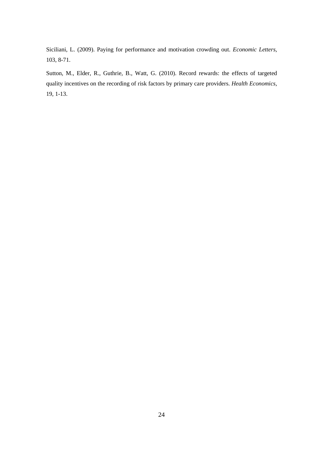Siciliani, L. (2009). Paying for performance and motivation crowding out. *Economic Letters,*  103, 8-71.

Sutton, M., Elder, R., Guthrie, B., Watt, G. (2010). Record rewards: the effects of targeted quality incentives on the recording of risk factors by primary care providers. *Health Economics*, 19, 1-13.